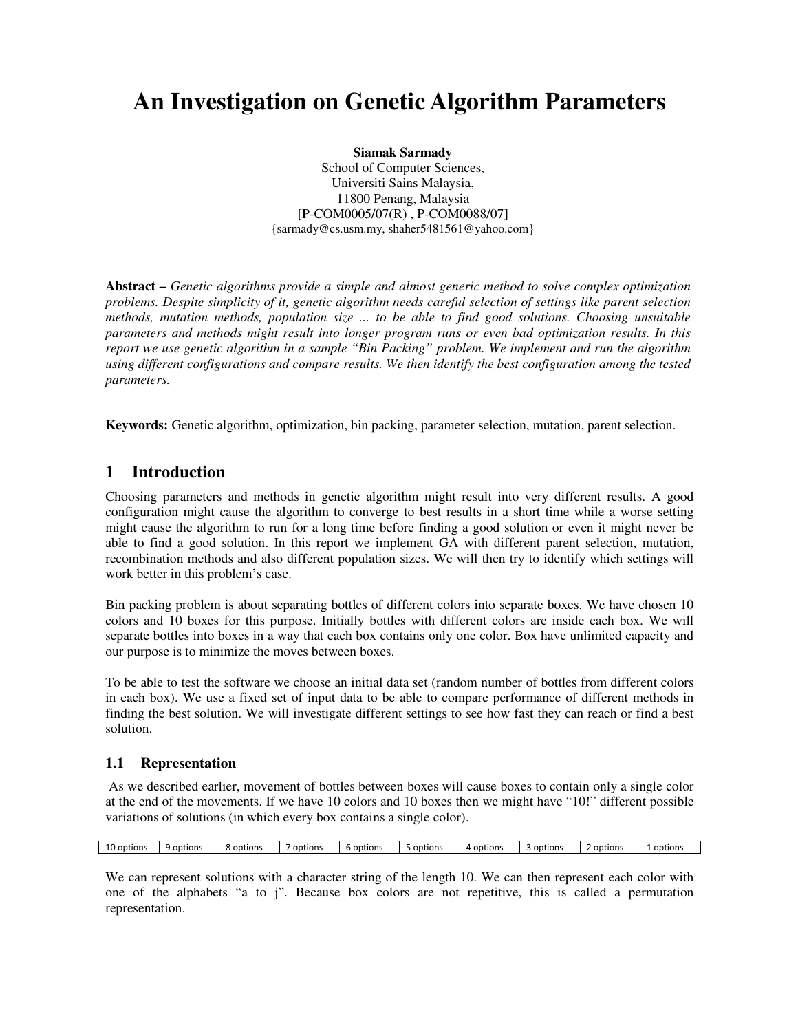# **An Investigation on Genetic Algorithm Parameters**

**Siamak Sarmady**  School of Computer Sciences, Universiti Sains Malaysia, 11800 Penang, Malaysia [P-COM0005/07(R) , P-COM0088/07] {sarmady@cs.usm.my, shaher5481561@yahoo.com}

**Abstract** *– Genetic algorithms provide a simple and almost generic method to solve complex optimization problems. Despite simplicity of it, genetic algorithm needs careful selection of settings like parent selection methods, mutation methods, population size ... to be able to find good solutions. Choosing unsuitable parameters and methods might result into longer program runs or even bad optimization results. In this report we use genetic algorithm in a sample "Bin Packing" problem. We implement and run the algorithm using different configurations and compare results. We then identify the best configuration among the tested parameters.* 

**Keywords:** Genetic algorithm, optimization, bin packing, parameter selection, mutation, parent selection.

# **1 Introduction**

Choosing parameters and methods in genetic algorithm might result into very different results. A good configuration might cause the algorithm to converge to best results in a short time while a worse setting might cause the algorithm to run for a long time before finding a good solution or even it might never be able to find a good solution. In this report we implement GA with different parent selection, mutation, recombination methods and also different population sizes. We will then try to identify which settings will work better in this problem's case.

Bin packing problem is about separating bottles of different colors into separate boxes. We have chosen 10 colors and 10 boxes for this purpose. Initially bottles with different colors are inside each box. We will separate bottles into boxes in a way that each box contains only one color. Box have unlimited capacity and our purpose is to minimize the moves between boxes.

To be able to test the software we choose an initial data set (random number of bottles from different colors in each box). We use a fixed set of input data to be able to compare performance of different methods in finding the best solution. We will investigate different settings to see how fast they can reach or find a best solution.

# **1.1 Representation**

 As we described earlier, movement of bottles between boxes will cause boxes to contain only a single color at the end of the movements. If we have 10 colors and 10 boxes then we might have "10!" different possible variations of solutions (in which every box contains a single color).

|  | ຳ<br>10 options | uons<br>9 opt | ∩ptions | options | , option | ntions.<br>opt | ntions<br>-opt<br>$\mathbf{u}$ | options | opt!<br>rion | optio |
|--|-----------------|---------------|---------|---------|----------|----------------|--------------------------------|---------|--------------|-------|
|--|-----------------|---------------|---------|---------|----------|----------------|--------------------------------|---------|--------------|-------|

We can represent solutions with a character string of the length 10. We can then represent each color with one of the alphabets "a to j". Because box colors are not repetitive, this is called a permutation representation.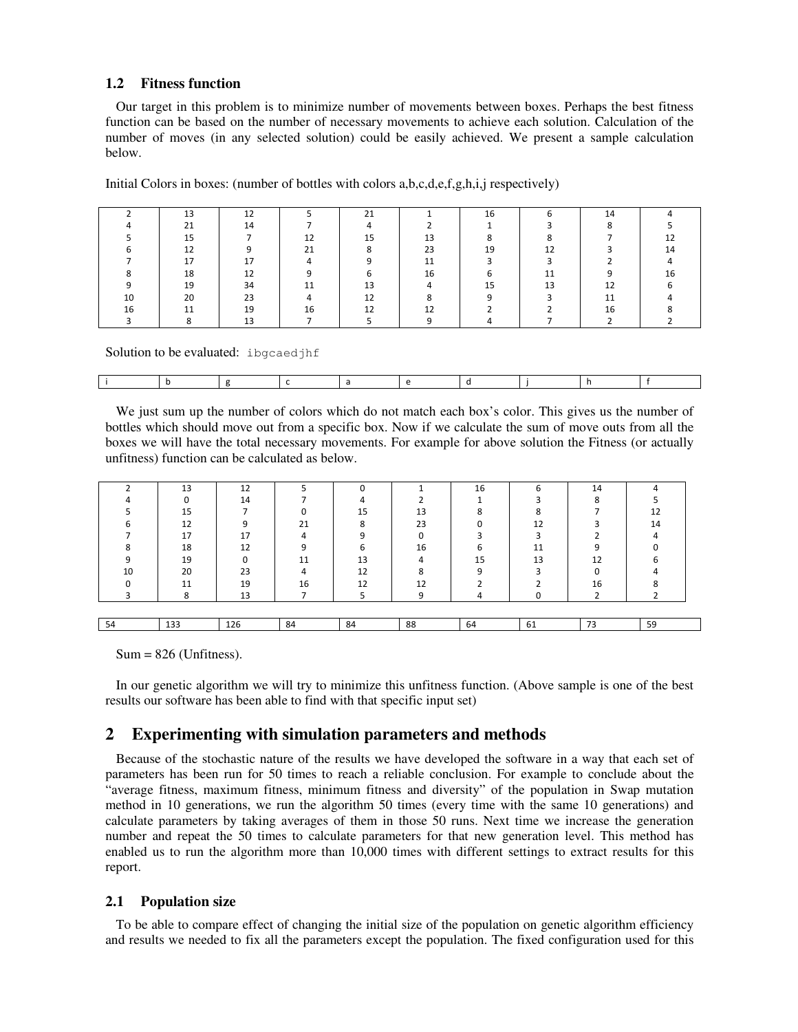## **1.2 Fitness function**

Our target in this problem is to minimize number of movements between boxes. Perhaps the best fitness function can be based on the number of necessary movements to achieve each solution. Calculation of the number of moves (in any selected solution) could be easily achieved. We present a sample calculation below.

|    | 13 | ᇈ        |    | 21 |    | 16                       |        |    |  |
|----|----|----------|----|----|----|--------------------------|--------|----|--|
|    | 21 | 14       |    |    |    |                          |        |    |  |
|    | 15 |          | 12 | 15 | 13 | o                        |        |    |  |
|    | 12 | $\Omega$ | 21 |    | 23 | 19                       | 12     |    |  |
|    | 17 | 17       |    |    | 11 | $\overline{\phantom{0}}$ | $\sim$ |    |  |
|    | 18 | 12       |    |    | 16 |                          | 11     |    |  |
|    | 19 | 34       |    |    |    | 15                       | 13     |    |  |
| 10 | 20 | 23       |    | 12 |    |                          |        |    |  |
| 16 | 11 | 19       | 16 | 1つ | 12 |                          |        | 16 |  |
|    |    |          |    |    |    |                          |        |    |  |

Initial Colors in boxes: (number of bottles with colors a,b,c,d,e,f,g,h,i,j respectively)

Solution to be evaluated: ibgcaedjhf

We just sum up the number of colors which do not match each box's color. This gives us the number of bottles which should move out from a specific box. Now if we calculate the sum of move outs from all the boxes we will have the total necessary movements. For example for above solution the Fitness (or actually unfitness) function can be calculated as below.

|    | 13           | 12  |    |    |    | 16 |    | 14 |    |
|----|--------------|-----|----|----|----|----|----|----|----|
|    |              | 14  |    |    |    |    |    |    |    |
|    | 15           |     |    | 15 | 13 |    |    |    | 12 |
|    | 12           |     | 21 |    | 23 |    | 12 |    | 14 |
|    | 17           | 17  |    |    |    |    |    |    |    |
|    | 18           | 12  |    |    | 16 |    | 11 |    |    |
|    | 19           |     | 11 | 13 |    | 15 | 13 | 12 |    |
| 10 | 20           | 23  |    | 12 |    |    |    |    |    |
|    | 11           | 19  | 16 | 12 | 12 |    |    | 16 |    |
|    | $\circ$<br>Õ | 13  |    |    |    |    |    |    |    |
|    |              |     |    |    |    |    |    |    |    |
| 54 | 133          | 126 | 84 | 84 | 88 | 64 | 61 | 73 | 59 |

 $Sum = 826$  (Unfitness).

In our genetic algorithm we will try to minimize this unfitness function. (Above sample is one of the best results our software has been able to find with that specific input set)

# **Experimenting with simulation parameters and methods**

Because of the stochastic nature of the results we have developed the software in a way that each set of parameters has been run for 50 times to reach a reliable conclusion. For example to conclude about the "average fitness, maximum fitness, minimum fitness and diversity" of the population in Swap mutation method in 10 generations, we run the algorithm 50 times (every time with the same 10 generations) and calculate parameters by taking averages of them in those 50 runs. Next time we increase the generation number and repeat the 50 times to calculate parameters for that new generation level. This method has enabled us to run the algorithm more than 10,000 times with different settings to extract results for this report.

#### **2.1 Population size**

To be able to compare effect of changing the initial size of the population on genetic algorithm efficiency and results we needed to fix all the parameters except the population. The fixed configuration used for this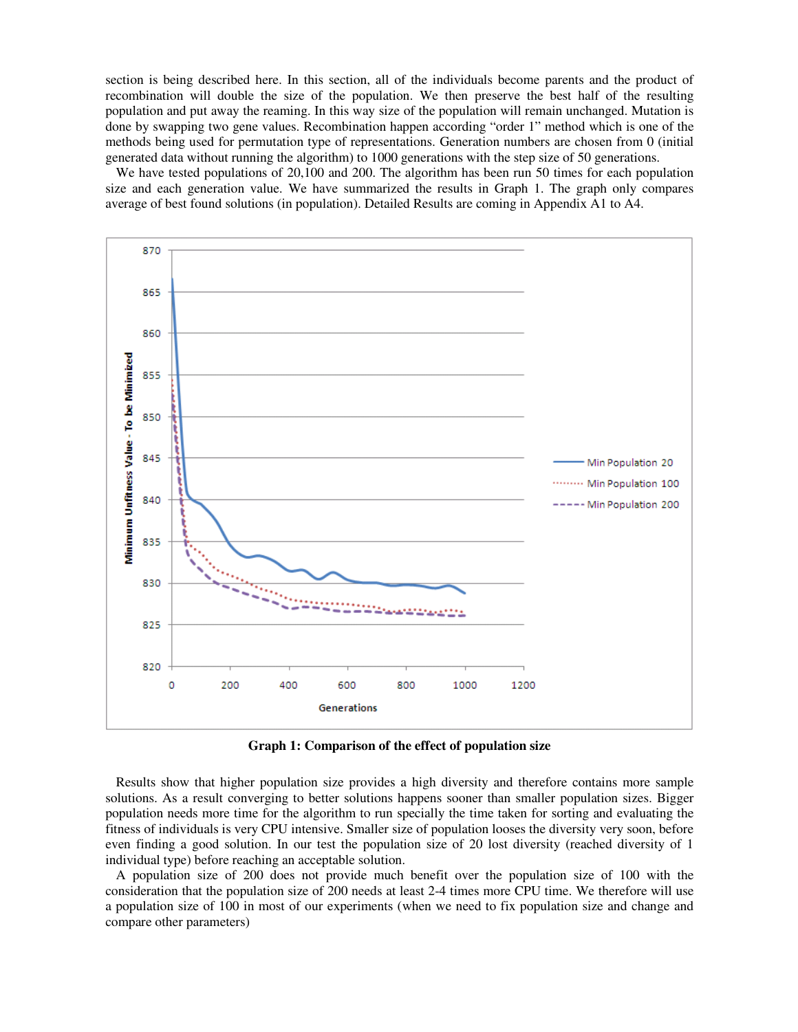section is being described here. In this section, all of the individuals become parents and the product of recombination will double the size of the population. We then preserve the best half of the resulting population and put away the reaming. In this way size of the population will remain unchanged. Mutation is done by swapping two gene values. Recombination happen according "order 1" method which is one of the methods being used for permutation type of representations. Generation numbers are chosen from 0 (initial generated data without running the algorithm) to 1000 generations with the step size of 50 generations.

We have tested populations of 20,100 and 200. The algorithm has been run 50 times for each population size and each generation value. We have summarized the results in Graph 1. The graph only compares average of best found solutions (in population). Detailed Results are coming in Appendix A1 to A4.



**Graph 1: Comparison of the effect of population size** 

Results show that higher population size provides a high diversity and therefore contains more sample solutions. As a result converging to better solutions happens sooner than smaller population sizes. Bigger population needs more time for the algorithm to run specially the time taken for sorting and evaluating the fitness of individuals is very CPU intensive. Smaller size of population looses the diversity very soon, before even finding a good solution. In our test the population size of 20 lost diversity (reached diversity of 1 individual type) before reaching an acceptable solution.

A population size of 200 does not provide much benefit over the population size of 100 with the consideration that the population size of 200 needs at least 2-4 times more CPU time. We therefore will use a population size of 100 in most of our experiments (when we need to fix population size and change and compare other parameters)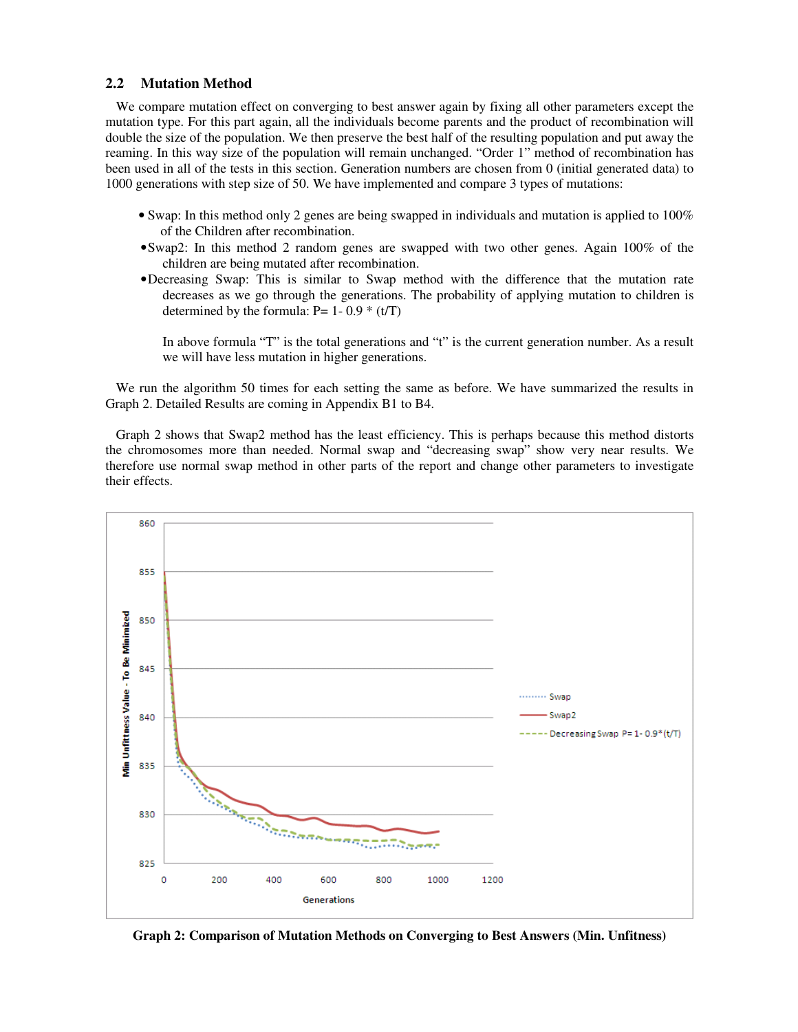#### **2.2 Mutation Method**

We compare mutation effect on converging to best answer again by fixing all other parameters except the mutation type. For this part again, all the individuals become parents and the product of recombination will double the size of the population. We then preserve the best half of the resulting population and put away the reaming. In this way size of the population will remain unchanged. "Order 1" method of recombination has been used in all of the tests in this section. Generation numbers are chosen from 0 (initial generated data) to 1000 generations with step size of 50. We have implemented and compare 3 types of mutations:

- Swap: In this method only 2 genes are being swapped in individuals and mutation is applied to 100% of the Children after recombination.
- •Swap2: In this method 2 random genes are swapped with two other genes. Again 100% of the children are being mutated after recombination.
- •Decreasing Swap: This is similar to Swap method with the difference that the mutation rate decreases as we go through the generations. The probability of applying mutation to children is determined by the formula:  $P= 1-0.9 * (t/T)$

In above formula "T" is the total generations and "t" is the current generation number. As a result we will have less mutation in higher generations.

We run the algorithm 50 times for each setting the same as before. We have summarized the results in Graph 2. Detailed Results are coming in Appendix B1 to B4.

Graph 2 shows that Swap2 method has the least efficiency. This is perhaps because this method distorts the chromosomes more than needed. Normal swap and "decreasing swap" show very near results. We therefore use normal swap method in other parts of the report and change other parameters to investigate their effects.



**Graph 2: Comparison of Mutation Methods on Converging to Best Answers (Min. Unfitness)**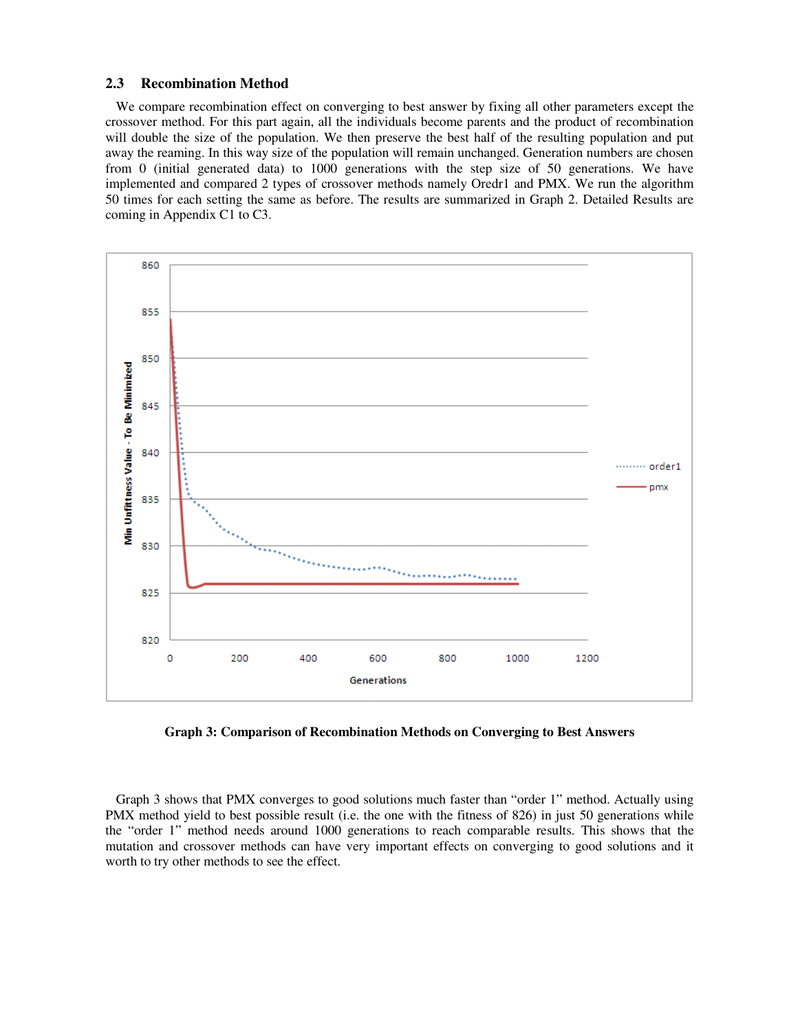#### **2.3 Recombination Method**

We compare recombination effect on converging to best answer by fixing all other parameters except the crossover method. For this part again, all the individuals become parents and the product of recombination will double the size of the population. We then preserve the best half of the resulting population and put away the reaming. In this way size of the population will remain unchanged. Generation numbers are chosen from 0 (initial generated data) to 1000 generations with the step size of 50 generations. We have implemented and compared 2 types of crossover methods namely Oredr1 and PMX. We run the algorithm 50 times for each setting the same as before. The results are summarized in Graph 2. Detailed Results are coming in Appendix C1 to C3.



**Graph 3: Comparison of Recombination Methods on Converging to Best Answers** 

Graph 3 shows that PMX converges to good solutions much faster than "order 1" method. Actually using PMX method yield to best possible result (i.e. the one with the fitness of 826) in just 50 generations while the "order 1" method needs around 1000 generations to reach comparable results. This shows that the mutation and crossover methods can have very important effects on converging to good solutions and it worth to try other methods to see the effect.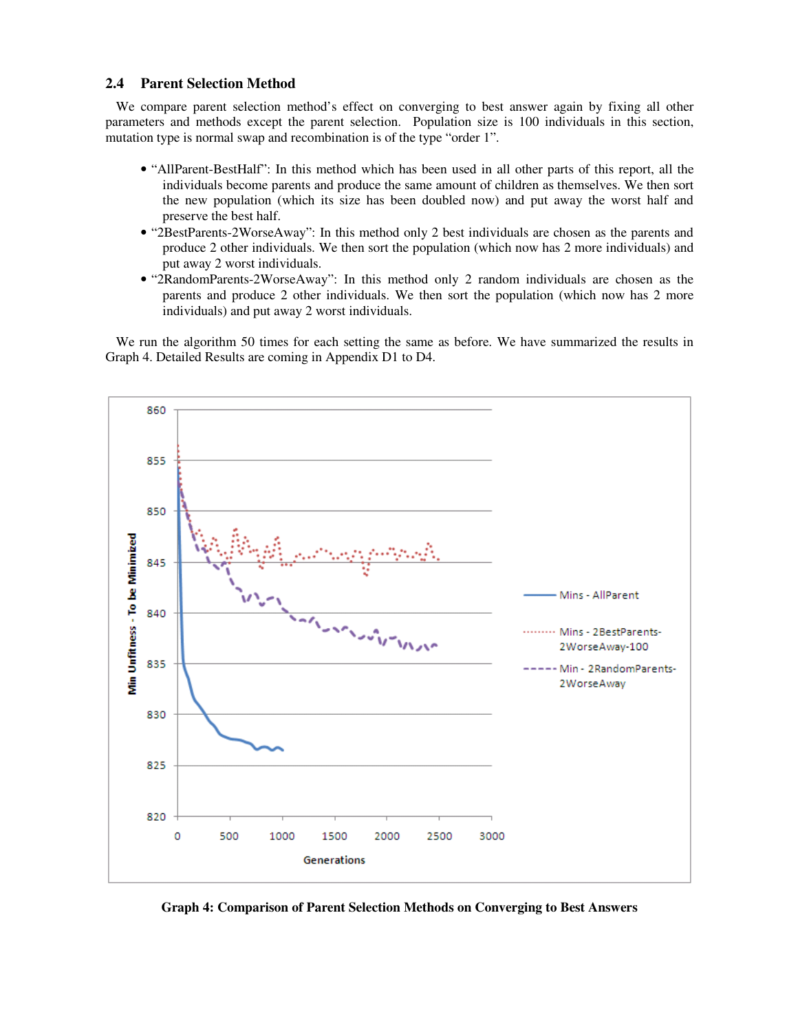#### **2.4 Parent Selection Method**

We compare parent selection method's effect on converging to best answer again by fixing all other parameters and methods except the parent selection. Population size is 100 individuals in this section, mutation type is normal swap and recombination is of the type "order 1".

- "AllParent-BestHalf": In this method which has been used in all other parts of this report, all the individuals become parents and produce the same amount of children as themselves. We then sort the new population (which its size has been doubled now) and put away the worst half and preserve the best half.
- "2BestParents-2WorseAway": In this method only 2 best individuals are chosen as the parents and produce 2 other individuals. We then sort the population (which now has 2 more individuals) and put away 2 worst individuals.
- "2RandomParents-2WorseAway": In this method only 2 random individuals are chosen as the parents and produce 2 other individuals. We then sort the population (which now has 2 more individuals) and put away 2 worst individuals.

We run the algorithm 50 times for each setting the same as before. We have summarized the results in Graph 4. Detailed Results are coming in Appendix D1 to D4.



**Graph 4: Comparison of Parent Selection Methods on Converging to Best Answers**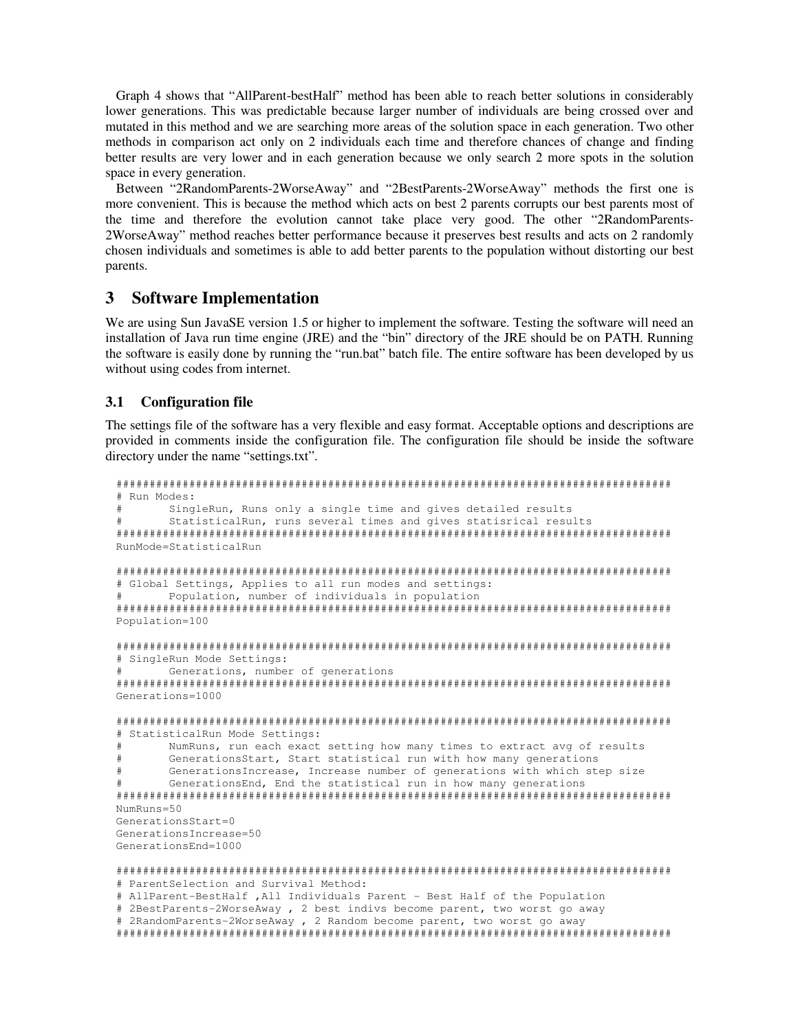Graph 4 shows that "AllParent-bestHalf" method has been able to reach better solutions in considerably lower generations. This was predictable because larger number of individuals are being crossed over and mutated in this method and we are searching more areas of the solution space in each generation. Two other methods in comparison act only on 2 individuals each time and therefore chances of change and finding better results are very lower and in each generation because we only search 2 more spots in the solution space in every generation.

Between "2RandomParents-2WorseAway" and "2BestParents-2WorseAway" methods the first one is more convenient. This is because the method which acts on best 2 parents corrupts our best parents most of the time and therefore the evolution cannot take place very good. The other "2RandomParents-2WorseAway" method reaches better performance because it preserves best results and acts on 2 randomly chosen individuals and sometimes is able to add better parents to the population without distorting our best parents.

# **3 Software Implementation**

We are using Sun JavaSE version 1.5 or higher to implement the software. Testing the software will need an installation of Java run time engine (JRE) and the "bin" directory of the JRE should be on PATH. Running the software is easily done by running the "run.bat" batch file. The entire software has been developed by us without using codes from internet.

## **3.1 Configuration file**

The settings file of the software has a very flexible and easy format. Acceptable options and descriptions are provided in comments inside the configuration file. The configuration file should be inside the software directory under the name "settings.txt".

```
#################################################################################### 
# Run Modes: 
# SingleRun, Runs only a single time and gives detailed results 
# StatisticalRun, runs several times and gives statisrical results 
#################################################################################### 
RunMode=StatisticalRun 
#################################################################################### 
# Global Settings, Applies to all run modes and settings: 
# Population, number of individuals in population 
#################################################################################### 
Population=100 
#################################################################################### 
# SingleRun Mode Settings: 
# Generations, number of generations 
#################################################################################### 
Generations=1000 
#################################################################################### 
# StatisticalRun Mode Settings: 
# NumRuns, run each exact setting how many times to extract avg of results 
# GenerationsStart, Start statistical run with how many generations 
# GenerationsIncrease, Increase number of generations with which step size 
# GenerationsEnd, End the statistical run in how many generations 
#################################################################################### 
NumRuns=50 
GenerationsStart=0 
GenerationsIncrease=50 
GenerationsEnd=1000 
#################################################################################### 
# ParentSelection and Survival Method: 
# AllParent-BestHalf ,All Individuals Parent - Best Half of the Population 
# 2BestParents-2WorseAway , 2 best indivs become parent, two worst go away
```

```
# 2RandomParents-2WorseAway , 2 Random become parent, two worst go away
```
####################################################################################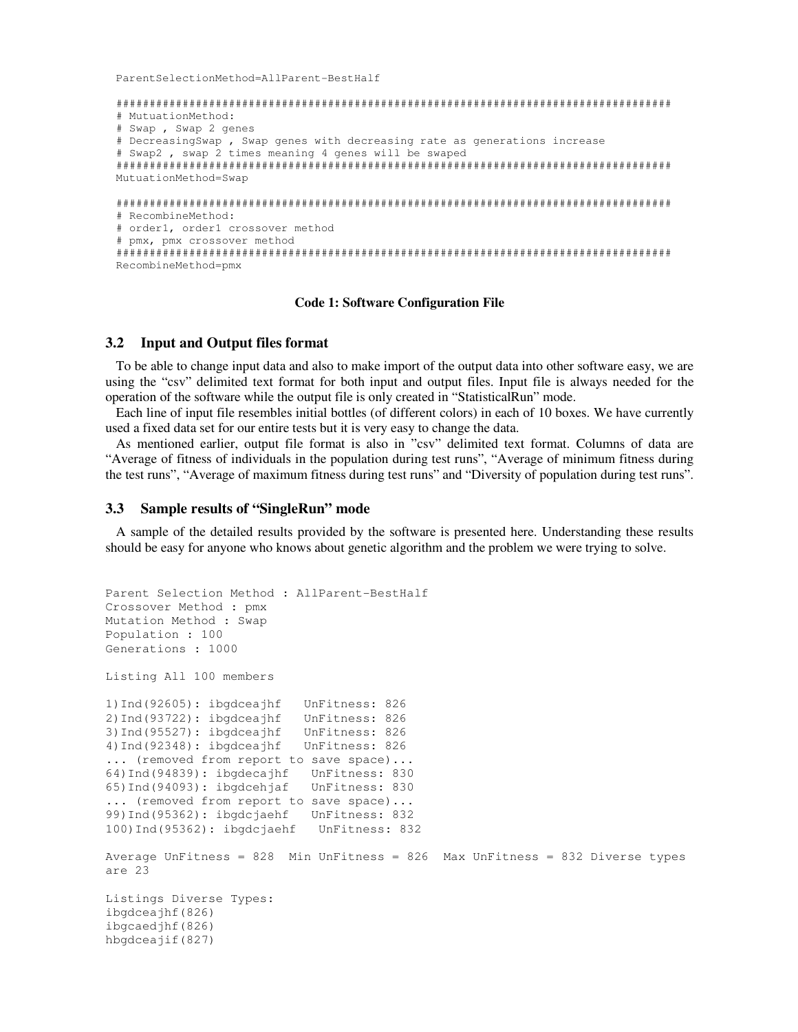ParentSelectionMethod=AllParent-BestHalf

```
#################################################################################### 
# MutuationMethod: 
# Swap , Swap 2 genes 
# DecreasingSwap , Swap genes with decreasing rate as generations increase 
# Swap2 , swap 2 times meaning 4 genes will be swaped 
#################################################################################### 
MutuationMethod=Swap 
#################################################################################### 
# RecombineMethod: 
# order1, order1 crossover method 
# pmx, pmx crossover method 
#################################################################################### 
RecombineMethod=pmx
```
#### **Code 1: Software Configuration File**

#### **3.2 Input and Output files format**

To be able to change input data and also to make import of the output data into other software easy, we are using the "csv" delimited text format for both input and output files. Input file is always needed for the operation of the software while the output file is only created in "StatisticalRun" mode.

Each line of input file resembles initial bottles (of different colors) in each of 10 boxes. We have currently used a fixed data set for our entire tests but it is very easy to change the data.

As mentioned earlier, output file format is also in "csv" delimited text format. Columns of data are "Average of fitness of individuals in the population during test runs", "Average of minimum fitness during the test runs", "Average of maximum fitness during test runs" and "Diversity of population during test runs".

#### **3.3 Sample results of "SingleRun" mode**

A sample of the detailed results provided by the software is presented here. Understanding these results should be easy for anyone who knows about genetic algorithm and the problem we were trying to solve.

```
Parent Selection Method : AllParent-BestHalf 
Crossover Method : pmx 
Mutation Method : Swap 
Population : 100 
Generations : 1000 
Listing All 100 members 
1)Ind(92605): ibgdceajhf UnFitness: 826 
2)Ind(93722): ibgdceajhf UnFitness: 826 
3)Ind(95527): ibgdceajhf UnFitness: 826 
4)Ind(92348): ibgdceajhf UnFitness: 826 
... (removed from report to save space)...
64)Ind(94839): ibgdecajhf UnFitness: 830 
65)Ind(94093): ibgdcehjaf UnFitness: 830 
... (removed from report to save space)...
99)Ind(95362): ibgdcjaehf UnFitness: 832 
100)Ind(95362): ibgdcjaehf UnFitness: 832 
Average UnFitness = 828 Min UnFitness = 826 Max UnFitness = 832 Diverse types 
are 23 
Listings Diverse Types: 
ibgdceajhf(826) 
ibgcaedjhf(826) 
hbgdceajif(827)
```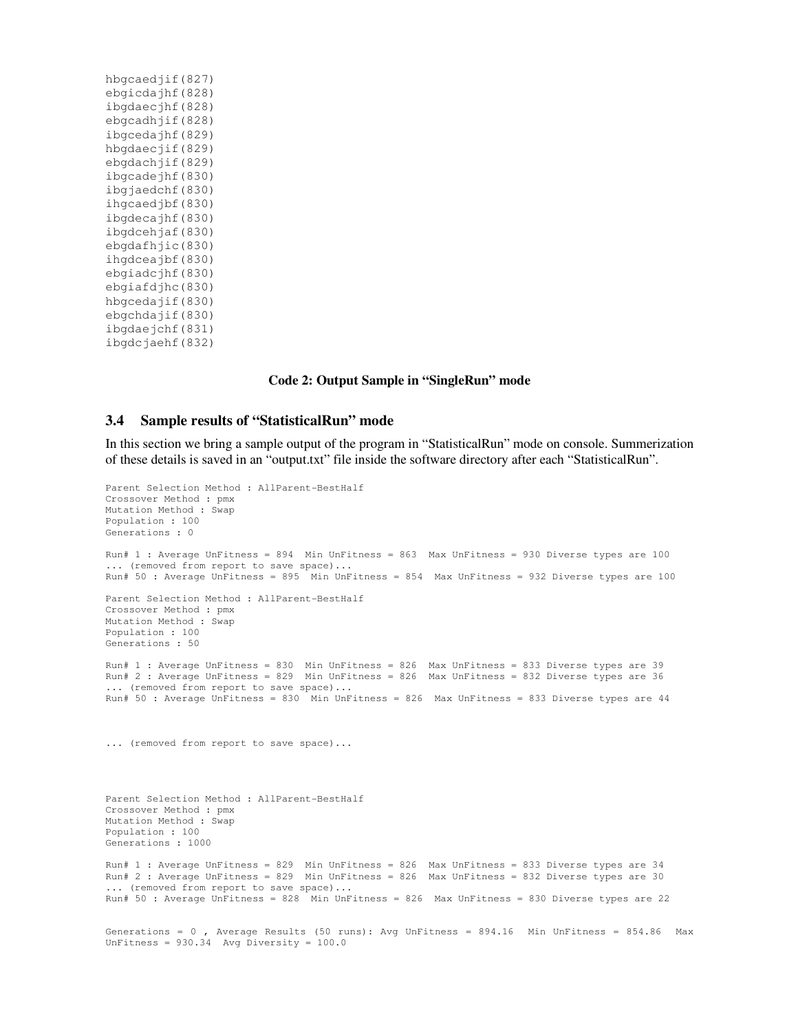#### **Code 2: Output Sample in "SingleRun" mode**

#### **3.4 Sample results of "StatisticalRun" mode**

In this section we bring a sample output of the program in "StatisticalRun" mode on console. Summerization of these details is saved in an "output.txt" file inside the software directory after each "StatisticalRun".

```
Parent Selection Method : AllParent-BestHalf 
Crossover Method : pmx 
Mutation Method : Swap 
Population : 100 
Generations : 0 
Run# 1 : Average UnFitness = 894 Min UnFitness = 863 Max UnFitness = 930 Diverse types are 100 
... (removed from report to save space)...
Run# 50 : Average UnFitness = 895 Min UnFitness = 854 Max UnFitness = 932 Diverse types are 100 
Parent Selection Method : AllParent-BestHalf 
Crossover Method : pmx 
Mutation Method : Swap 
Population : 100 
Generations : 50 
Run# 1 : Average UnFitness = 830 Min UnFitness = 826 Max UnFitness = 833 Diverse types are 39 
Run# 2 : Average UnFitness = 829 Min UnFitness = 826 Max UnFitness = 832 Diverse types are 36 
... (removed from report to save space)...
Run# 50 : Average UnFitness = 830 Min UnFitness = 826 Max UnFitness = 833 Diverse types are 44
... (removed from report to save space)...
Parent Selection Method : AllParent-BestHalf 
Crossover Method : pmx 
Mutation Method : Swap 
Population : 100 
Generations : 1000 
Run# 1 : Average UnFitness = 829 Min UnFitness = 826 Max UnFitness = 833 Diverse types are 34 
Run# 2 : Average UnFitness = 829 Min UnFitness = 826 Max UnFitness = 832 Diverse types are 30 
... (removed from report to save space)...
Run# 50 : Average UnFitness = 828 Min UnFitness = 826 Max UnFitness = 830 Diverse types are 22 
Generations = 0 , Average Results (50 runs): Avg UnFitness = 894.16 Min UnFitness = 854.86 Max 
UnFitness = 930.34 Avg Diversity = 100.0
```